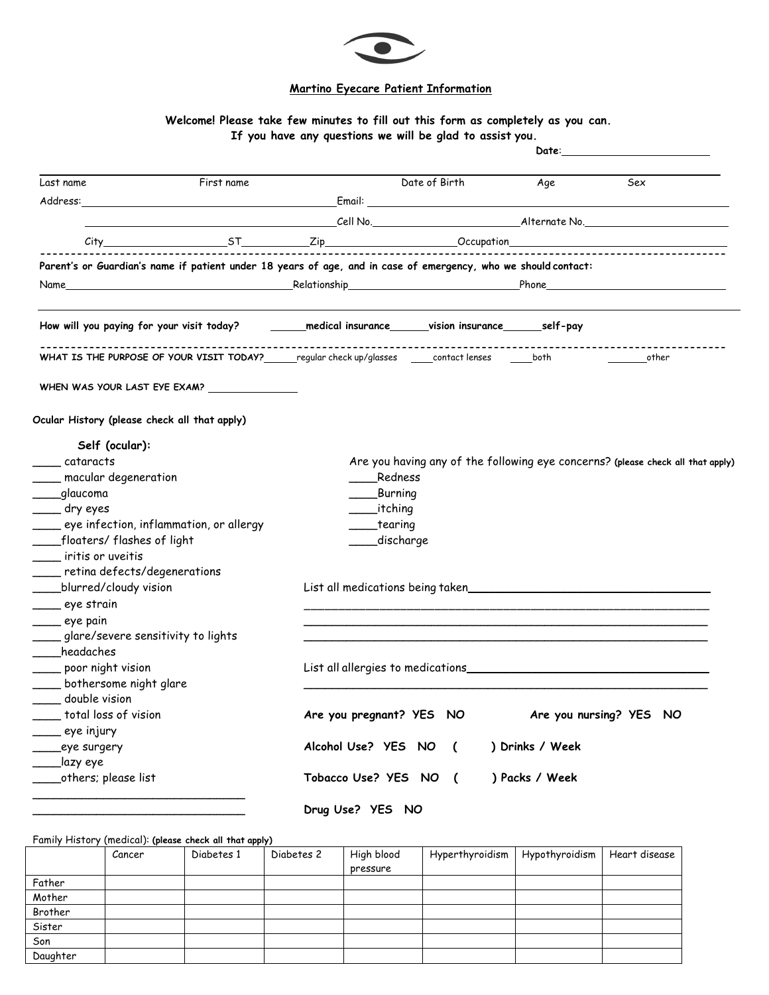

## **Martino Eyecare Patient Information**

## **Welcome! Please take few minutes to fill out this form as completely as you can. If you have any questions we will be glad to assist you.**

|                                                                                                                |            | Date:                    |               |                 |                                                                                 |  |  |
|----------------------------------------------------------------------------------------------------------------|------------|--------------------------|---------------|-----------------|---------------------------------------------------------------------------------|--|--|
| Last name                                                                                                      | First name |                          | Date of Birth | Aqe             | Sex                                                                             |  |  |
|                                                                                                                |            |                          |               |                 |                                                                                 |  |  |
|                                                                                                                |            | Cell No. Alternate No.   |               |                 |                                                                                 |  |  |
|                                                                                                                |            |                          |               |                 |                                                                                 |  |  |
|                                                                                                                |            |                          |               |                 |                                                                                 |  |  |
| Parent's or Guardian's name if patient under 18 years of age, and in case of emergency, who we should contact: |            |                          |               |                 |                                                                                 |  |  |
|                                                                                                                |            |                          |               |                 |                                                                                 |  |  |
| How will you paying for your visit today? ______medical insurance______vision insurance______self-pay          |            |                          |               |                 |                                                                                 |  |  |
| WHAT IS THE PURPOSE OF YOUR VISIT TODAY?_______regular check up/glasses _____contact lenses ______both         |            |                          |               |                 | other                                                                           |  |  |
| WHEN WAS YOUR LAST EYE EXAM?                                                                                   |            |                          |               |                 |                                                                                 |  |  |
| Ocular History (please check all that apply)                                                                   |            |                          |               |                 |                                                                                 |  |  |
| Self (ocular):                                                                                                 |            |                          |               |                 |                                                                                 |  |  |
| $\_$ cataracts                                                                                                 |            |                          |               |                 | Are you having any of the following eye concerns? (please check all that apply) |  |  |
| macular degeneration                                                                                           |            | Redness                  |               |                 |                                                                                 |  |  |
| __glaucoma                                                                                                     |            | Burning                  |               |                 |                                                                                 |  |  |
| ____ dry eyes                                                                                                  |            | _itching                 |               |                 |                                                                                 |  |  |
| ___ eye infection, inflammation, or allergy                                                                    |            |                          | tearing_      |                 |                                                                                 |  |  |
| ____floaters/flashes of light                                                                                  |            |                          | discharge_    |                 |                                                                                 |  |  |
| iritis or uveitis                                                                                              |            |                          |               |                 |                                                                                 |  |  |
| ___ retina defects/degenerations                                                                               |            |                          |               |                 |                                                                                 |  |  |
| _blurred/cloudy vision                                                                                         |            |                          |               |                 |                                                                                 |  |  |
|                                                                                                                |            |                          |               |                 |                                                                                 |  |  |
| ____ eye strain                                                                                                |            |                          |               |                 |                                                                                 |  |  |
| __ eye pain                                                                                                    |            |                          |               |                 |                                                                                 |  |  |
| $\equiv$ glare/severe sensitivity to lights                                                                    |            |                          |               |                 |                                                                                 |  |  |
| headaches                                                                                                      |            |                          |               |                 |                                                                                 |  |  |
| ___ poor night vision                                                                                          |            |                          |               |                 |                                                                                 |  |  |
| bothersome night glare                                                                                         |            |                          |               |                 |                                                                                 |  |  |
| double vision                                                                                                  |            |                          |               |                 |                                                                                 |  |  |
| _total loss of vision                                                                                          |            | Are you pregnant? YES NO |               |                 | Are you nursing? YES NO                                                         |  |  |
| <sub>___</sub> eye injury                                                                                      |            |                          |               |                 |                                                                                 |  |  |
| eye surgery                                                                                                    |            | Alcohol Use? YES NO (    |               | ) Drinks / Week |                                                                                 |  |  |
| _lazy eye                                                                                                      |            |                          |               |                 |                                                                                 |  |  |
| others; please list                                                                                            |            | Tobacco Use? YES NO (    |               | ) Packs / Week  |                                                                                 |  |  |
|                                                                                                                |            |                          |               |                 |                                                                                 |  |  |

Family History (medical): **(please check all that apply)** Cancer Diabetes 1 Diabetes 2 High blood pressure Hyperthyroidism | Hypothyroidism | Heart disease Father Mother Brother Sister Son Daughter